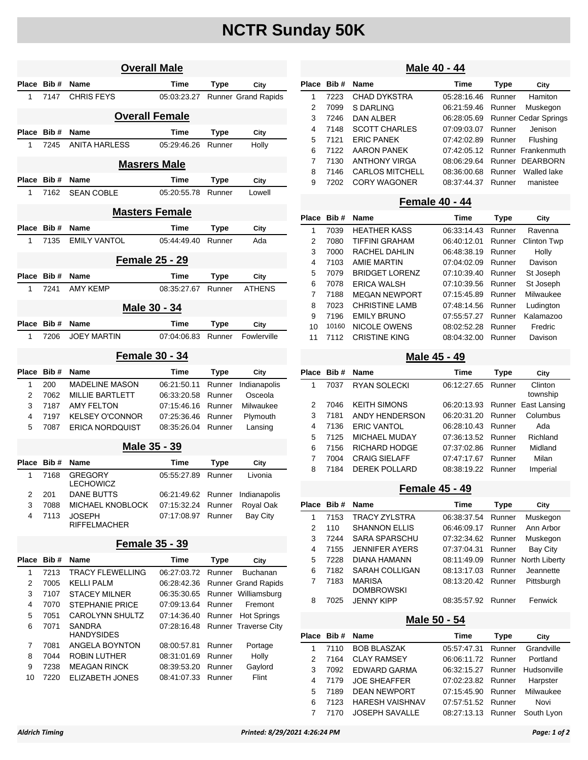# **NCTR Sunday 50K**

| <b>Overall Male</b>   |            |                             |             |                |                            |  |
|-----------------------|------------|-----------------------------|-------------|----------------|----------------------------|--|
| Place                 | Bib#       | Name                        | Time        | Type           | City                       |  |
| 1                     | 7147       | <b>CHRIS FEYS</b>           | 05:03:23.27 |                | <b>Runner Grand Rapids</b> |  |
|                       |            | <b>Overall Female</b>       |             |                |                            |  |
| Place                 | Bib#       | Name                        | Time        | <b>Type</b>    | City                       |  |
| 1                     | 7245       | <b>ANITA HARLESS</b>        | 05:29:46.26 | Runner         | Holly                      |  |
|                       |            | <b>Masrers Male</b>         |             |                |                            |  |
|                       | Place Bib# | <b>Name</b>                 | Time        |                |                            |  |
| 1                     | 7162       | <b>SEAN COBLE</b>           | 05:20:55.78 | Type<br>Runner | City<br>Lowell             |  |
|                       |            |                             |             |                |                            |  |
|                       |            | <b>Masters Female</b>       |             |                |                            |  |
| Place                 | Bib#       | Name                        | Time        | Type           | City                       |  |
| 1                     | 7135       | <b>EMILY VANTOL</b>         | 05:44:49.40 | Runner         | Ada                        |  |
|                       |            | <b>Female 25 - 29</b>       |             |                |                            |  |
| Place                 | Bib#       | Name                        | Time        | <b>Type</b>    | City                       |  |
| 1                     | 7241       | <b>AMY KEMP</b>             | 08:35:27.67 | Runner         | <b>ATHENS</b>              |  |
|                       |            |                             |             |                |                            |  |
|                       |            | Male 30 - 34                |             |                |                            |  |
| Place Bib#            |            | Name                        | Time        | <b>Type</b>    | City                       |  |
| 1                     | 7206       | <b>JOEY MARTIN</b>          | 07:04:06.83 | Runner         | Fowlerville                |  |
|                       |            | <b>Female 30 - 34</b>       |             |                |                            |  |
| Place                 | Bib#       | Name                        | Time        | <b>Type</b>    | City                       |  |
| 1                     | 200        | <b>MADELINE MASON</b>       | 06:21:50.11 | Runner         | Indianapolis               |  |
| 2                     | 7062       | <b>MILLIE BARTLETT</b>      | 06:33:20.58 | Runner         | Osceola                    |  |
| 3                     | 7187       | <b>AMY FELTON</b>           | 07:15:46.16 | Runner         | Milwaukee                  |  |
| 4                     | 7197       | <b>KELSEY O'CONNOR</b>      | 07:25:36.46 | Runner         | Plymouth                   |  |
| 5                     | 7087       | <b>ERICA NORDQUIST</b>      | 08:35:26.04 | Runner         | Lansing                    |  |
|                       |            | <u> Male 35 - 39</u>        |             |                |                            |  |
| Place                 | Bib#       | Name                        | Time        | Type           | City                       |  |
| 1                     | 7168       | <b>GREGORY</b><br>LECHOWICZ | 05:55:27.89 | Runner         | Livonia                    |  |
| 2                     | 201        | <b>DANE BUTTS</b>           | 06:21:49.62 | Runner         | Indianapolis               |  |
| 3                     | 7088       | <b>MICHAEL KNOBLOCK</b>     | 07:15:32.24 | Runner         | Royal Oak                  |  |
| 4                     | 7113       | <b>JOSEPH</b>               | 07:17:08.97 | Runner         | Bay City                   |  |
|                       |            | <b>RIFFELMACHER</b>         |             |                |                            |  |
| <b>Female 35 - 39</b> |            |                             |             |                |                            |  |
| Place                 | Bib#       | Name                        | Time        | Type           | City                       |  |
| 1                     | 7213       | <b>TRACY FLEWELLING</b>     | 06:27:03.72 | Runner         | Buchanan                   |  |
| 2                     | 7005       | <b>KELLI PALM</b>           | 06:28:42.36 |                | <b>Runner Grand Rapids</b> |  |
| 3                     | 7107       | <b>STACEY MILNER</b>        | 06:35:30.65 |                | Runner Williamsburg        |  |
| 4                     | 7070       | <b>STEPHANIE PRICE</b>      | 07:09:13.64 | Runner         | Fremont                    |  |
| 5                     | 7051       | <b>CAROLYNN SHULTZ</b>      | 07:14:36.40 | Runner         | <b>Hot Springs</b>         |  |
| 6                     | 7071       | SANDRA<br>HANDYSIDES        | 07:28:16.48 |                | Runner Traverse City       |  |
| 7                     | 7081       | ANGELA BOYNTON              | 08:00:57.81 | Runner         | Portage                    |  |
| 8                     | 7044       | ROBIN LUTHER                | 08:31:01.69 | Runner         | Holly                      |  |
| 9                     | 7238       | <b>MEAGAN RINCK</b>         | 08:39:53.20 | Runner         | Gaylord                    |  |
| 10                    | 7220       | <b>ELIZABETH JONES</b>      | 08:41:07.33 | Runner         | Flint                      |  |
|                       |            |                             |             |                |                            |  |

### **Male 40 - 44**

|   | Place Bib# | <b>Name</b>            | Time        | <b>Type</b> | City                           |
|---|------------|------------------------|-------------|-------------|--------------------------------|
| 1 | 7223       | <b>CHAD DYKSTRA</b>    | 05:28:16.46 | Runner      | Hamiton                        |
| 2 | 7099       | S DARLING              | 06:21:59.46 | Runner      | Muskegon                       |
| 3 | 7246       | DAN ALBER              | 06:28:05.69 |             | <b>Runner Cedar Springs</b>    |
| 4 | 7148       | <b>SCOTT CHARLES</b>   | 07:09:03.07 | Runner      | Jenison                        |
| 5 | 7121       | <b>ERIC PANEK</b>      | 07:42:02.89 | Runner      | Flushing                       |
| 6 | 7122       | AARON PANEK            |             |             | 07:42:05.12 Runner Frankenmuth |
| 7 | 7130       | <b>ANTHONY VIRGA</b>   | 08:06:29.64 |             | Runner DEARBORN                |
| 8 | 7146       | <b>CARLOS MITCHELL</b> | 08:36:00.68 | Runner      | Walled lake                    |
| 9 | 7202       | <b>CORY WAGONER</b>    | 08:37:44.37 | Runner      | manistee                       |
|   |            |                        |             |             |                                |

#### **Female 40 - 44**

| City               |
|--------------------|
| Ravenna            |
| <b>Clinton Twp</b> |
| Holly              |
| Davison            |
| St Joseph          |
| St Joseph          |
| Milwaukee          |
| Ludington          |
| Kalamazoo          |
| Fredric            |
| Davison            |
|                    |

### **Male 45 - 49**

| Place<br>Bib# | <b>Name</b>          | Time        | Type   | City                                                                                  |
|---------------|----------------------|-------------|--------|---------------------------------------------------------------------------------------|
| 7037          | <b>RYAN SOLECKI</b>  | 06:12:27.65 | Runner | Clinton<br>township                                                                   |
| 7046          | <b>KEITH SIMONS</b>  |             |        |                                                                                       |
| 7181          | ANDY HENDERSON       | 06:20:31.20 |        | Columbus                                                                              |
| 7136          | <b>ERIC VANTOL</b>   |             |        | Ada                                                                                   |
| 7125          | <b>MICHAEL MUDAY</b> |             |        | Richland                                                                              |
| 7156          | RICHARD HODGE        | 07:37:02.86 | Runner | Midland                                                                               |
| 7004          | <b>CRAIG SIELAFF</b> | 07:47:17.67 | Runner | Milan                                                                                 |
| 7184          | <b>DEREK POLLARD</b> | 08:38:19.22 | Runner | Imperial                                                                              |
|               |                      |             |        | 06:20:13.93 Runner East Lansing<br>Runner<br>06:28:10.43 Runner<br>07:36:13.52 Runner |

### **Female 45 - 49**

|   | Place Bib # | <b>Name</b>                        | Time               | <b>Type</b> | City                 |
|---|-------------|------------------------------------|--------------------|-------------|----------------------|
| 1 | 7153        | TRACY ZYLSTRA                      | 06:38:37.54 Runner |             | Muskegon             |
| 2 | 110         | <b>SHANNON ELLIS</b>               | 06:46:09.17        | Runner      | Ann Arbor            |
| 3 | 7244        | <b>SARA SPARSCHU</b>               | 07:32:34.62 Runner |             | Muskegon             |
| 4 | 7155        | <b>JENNIFER AYERS</b>              | 07:37:04.31        | Runner      | <b>Bay City</b>      |
| 5 | 7228        | DIANA HAMANN                       | 08:11:49.09        |             | Runner North Liberty |
| 6 | 7182        | SARAH COLLIGAN                     | 08:13:17.03        | Runner      | Jeannette            |
| 7 | 7183        | <b>MARISA</b><br><b>DOMBROWSKI</b> | 08:13:20.42 Runner |             | Pittsburgh           |
| 8 | 7025        | <b>JENNY KIPP</b>                  | 08:35:57.92        | Runner      | Fenwick              |

### **Male 50 - 54**

|           |      | Place Bib# Name       | Time                           | <b>Type</b> | City     |  |
|-----------|------|-----------------------|--------------------------------|-------------|----------|--|
| $1 \quad$ | 7110 | BOB BLASZAK           | 05:57:47.31 Runner Grandville  |             |          |  |
| 2         | 7164 | CLAY RAMSEY           | 06:06:11.72 Runner             |             | Portland |  |
| 3         | 7092 | EDWARD GARMA          | 06:32:15.27 Runner Hudsonville |             |          |  |
| 4         | 7179 | JOE SHEAFFER          | 07:02:23.82 Runner             |             | Harpster |  |
| 5         | 7189 | DEAN NEWPORT          | 07:15:45.90 Runner Milwaukee   |             |          |  |
| հ         | 7123 | HARESH VAISHNAV       | 07:57:51.52 Runner             |             | Novi     |  |
|           | 7170 | <b>JOSEPH SAVALLE</b> | 08:27:13.13 Runner South Lyon  |             |          |  |